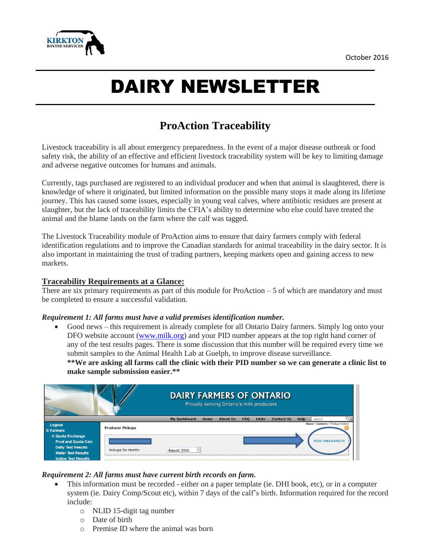

# DAIRY NEWSLETTER

# **ProAction Traceability**

Livestock traceability is all about emergency preparedness. In the event of a major disease outbreak or food safety risk, the ability of an effective and efficient livestock traceability system will be key to limiting damage and adverse negative outcomes for humans and animals.

Currently, tags purchased are registered to an individual producer and when that animal is slaughtered, there is knowledge of where it originated, but limited information on the possible many stops it made along its lifetime journey. This has caused some issues, especially in young veal calves, where antibiotic residues are present at slaughter, but the lack of traceability limits the CFIA's ability to determine who else could have treated the animal and the blame lands on the farm where the calf was tagged.

The Livestock Traceability module of ProAction aims to ensure that dairy farmers comply with federal identification regulations and to improve the Canadian standards for animal traceability in the dairy sector. It is also important in maintaining the trust of trading partners, keeping markets open and gaining access to new markets.

#### **Traceability Requirements at a Glance:**

There are six primary requirements as part of this module for  $ProAction - 5$  of which are mandatory and must be completed to ensure a successful validation.

#### *Requirement 1: All farms must have a valid premises identification number.*

 Good news – this requirement is already complete for all Ontario Dairy farmers. Simply log onto your DFO website account [\(www.milk.org\)](http://www.milk.org/) and your PID number appears at the top right hand corner of any of the test results pages. There is some discussion that this number will be required every time we submit samples to the Animal Health Lab at Guelph, to improve disease surveillance.

\*\*We are asking all farms call the clinic with their PID number so we can generate a clinic list to **make sample submission easier.\*\***

|                                                                                                                  | <b>DAIRY FARMERS OF ONTARIO</b><br><b>Proudly serving Ontario's milk producers</b> |                                    |                 |            |              |                   |             |                                 |
|------------------------------------------------------------------------------------------------------------------|------------------------------------------------------------------------------------|------------------------------------|-----------------|------------|--------------|-------------------|-------------|---------------------------------|
|                                                                                                                  |                                                                                    | <b>My Dashboard</b><br><b>Home</b> | <b>About Us</b> | <b>FAQ</b> | <b>Links</b> | <b>Contact Us</b> | <b>Help</b> | Q<br>search                     |
| Logout<br>$E$ Farmers                                                                                            | <b>Producer Pickups</b>                                                            |                                    |                 |            |              |                   |             | Home > Farmers > Pickup History |
| <b>El Quota Exchange</b><br><b>Prod and Quota Calc</b><br><b>Daily Test Results</b><br><b>Water Test Results</b> | Pickups for Month:                                                                 | August 2016                        |                 |            |              |                   |             | <b>PID: ON1644074</b>           |
| <b>Iodine Test Results</b>                                                                                       |                                                                                    |                                    |                 |            |              |                   |             |                                 |

#### *Requirement 2: All farms must have current birth records on farm.*

- This information must be recorded either on a paper template (ie. DHI book, etc), or in a computer system (ie. Dairy Comp/Scout etc), within 7 days of the calf's birth. Information required for the record include:
	- o NLID 15-digit tag number
	- o Date of birth
	- o Premise ID where the animal was born